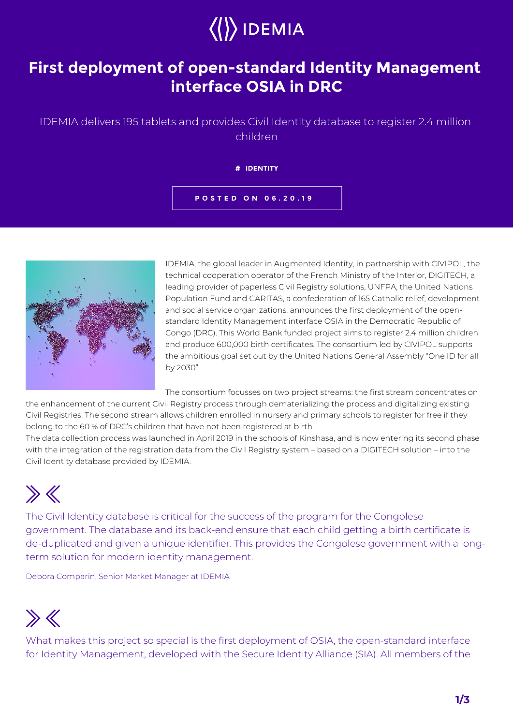

### **First deployment of open-standard Identity Management interface OSIA in DRC**

### IDEMIA delivers 195 tablets and provides Civil Identity database to register 2.4 million children

**# IDENTITY**

**POSTED ON 06.20.19**



IDEMIA, the global leader in Augmented Identity, in partnership with CIVIPOL, the technical cooperation operator of the French Ministry of the Interior, DIGITECH, a leading provider of paperless Civil Registry solutions, UNFPA, the United Nations Population Fund and CARITAS, a confederation of 165 Catholic relief, development and social service organizations, announces the first deployment of the openstandard Identity Management interface OSIA in the Democratic Republic of Congo (DRC). This World Bank funded project aims to register 2.4 million children and produce 600,000 birth certificates. The consortium led by CIVIPOL supports the ambitious goal set out by the United Nations General Assembly "One ID for all by 2030".

The consortium focusses on two project streams: the first stream concentrates on the enhancement of the current Civil Registry process through dematerializing the process and digitalizing existing

Civil Registries. The second stream allows children enrolled in nursery and primary schools to register for free if they belong to the 60 % of DRC's children that have not been registered at birth. The data collection process was launched in April 2019 in the schools of Kinshasa, and is now entering its second phase

with the integration of the registration data from the Civil Registry system – based on a DIGITECH solution – into the Civil Identity database provided by IDEMIA.

# $\gg K$

The Civil Identity database is critical for the success of the program for the Congolese government. The database and its back-end ensure that each child getting a birth certificate is de-duplicated and given a unique identifier. This provides the Congolese government with a longterm solution for modern identity management.

Debora Comparin, Senior Market Manager at IDEMIA

## $\gg K$

What makes this project so special is the first deployment of OSIA, the open-standard interface for Identity Management, developed with the Secure Identity Alliance (SIA). All members of the